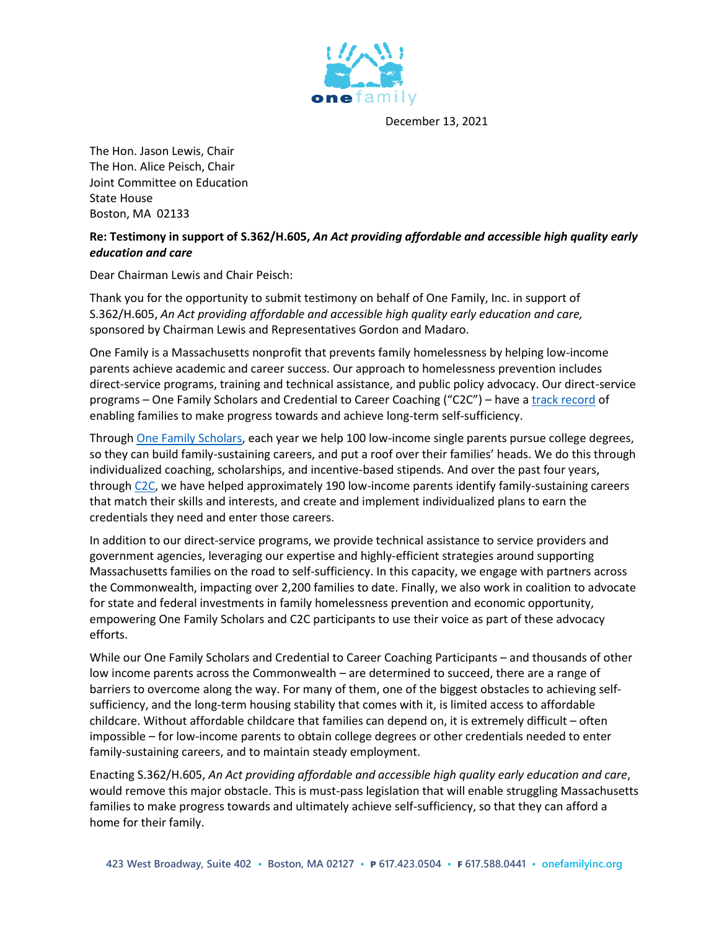

December 13, 2021

The Hon. Jason Lewis, Chair The Hon. Alice Peisch, Chair Joint Committee on Education State House Boston, MA 02133

## **Re: Testimony in support of S.362/H.605,** *An Act providing affordable and accessible high quality early education and care*

Dear Chairman Lewis and Chair Peisch:

Thank you for the opportunity to submit testimony on behalf of One Family, Inc. in support of S.362/H.605, *An Act providing affordable and accessible high quality early education and care,* sponsored by Chairman Lewis and Representatives Gordon and Madaro.

One Family is a Massachusetts nonprofit that prevents family homelessness by helping low-income parents achieve academic and career success. Our approach to homelessness prevention includes direct-service programs, training and technical assistance, and public policy advocacy. Our direct-service programs – One Family Scholars and Credential to Career Coaching ("C2C") – have a [track record](https://www.onefamilyinc.org/impact) of enabling families to make progress towards and achieve long-term self-sufficiency.

Through [One Family Scholars,](https://www.onefamilyinc.org/scholars) each year we help 100 low-income single parents pursue college degrees, so they can build family-sustaining careers, and put a roof over their families' heads. We do this through individualized coaching, scholarships, and incentive-based stipends. And over the past four years, throug[h C2C,](https://www.onefamilyinc.org/c2c) we have helped approximately 190 low-income parents identify family-sustaining careers that match their skills and interests, and create and implement individualized plans to earn the credentials they need and enter those careers.

In addition to our direct-service programs, we provide technical assistance to service providers and government agencies, leveraging our expertise and highly-efficient strategies around supporting Massachusetts families on the road to self-sufficiency. In this capacity, we engage with partners across the Commonwealth, impacting over 2,200 families to date. Finally, we also work in coalition to advocate for state and federal investments in family homelessness prevention and economic opportunity, empowering One Family Scholars and C2C participants to use their voice as part of these advocacy efforts.

While our One Family Scholars and Credential to Career Coaching Participants – and thousands of other low income parents across the Commonwealth – are determined to succeed, there are a range of barriers to overcome along the way. For many of them, one of the biggest obstacles to achieving selfsufficiency, and the long-term housing stability that comes with it, is limited access to affordable childcare. Without affordable childcare that families can depend on, it is extremely difficult – often impossible – for low-income parents to obtain college degrees or other credentials needed to enter family-sustaining careers, and to maintain steady employment.

Enacting S.362/H.605, *An Act providing affordable and accessible high quality early education and care*, would remove this major obstacle. This is must-pass legislation that will enable struggling Massachusetts families to make progress towards and ultimately achieve self-sufficiency, so that they can afford a home for their family.